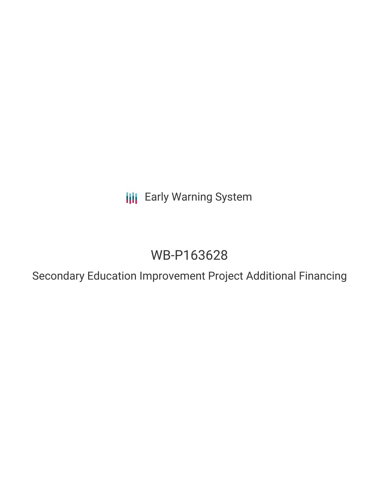**III** Early Warning System

# WB-P163628

Secondary Education Improvement Project Additional Financing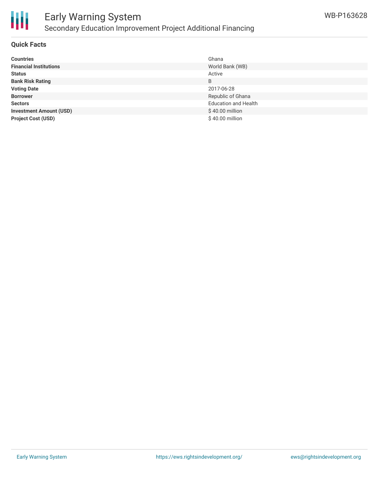

### Early Warning System Secondary Education Improvement Project Additional Financing

### **Quick Facts**

| <b>Countries</b>               | Ghana                       |
|--------------------------------|-----------------------------|
| <b>Financial Institutions</b>  | World Bank (WB)             |
| <b>Status</b>                  | Active                      |
| <b>Bank Risk Rating</b>        | B                           |
| <b>Voting Date</b>             | 2017-06-28                  |
| <b>Borrower</b>                | Republic of Ghana           |
| <b>Sectors</b>                 | <b>Education and Health</b> |
| <b>Investment Amount (USD)</b> | \$40.00 million             |
| <b>Project Cost (USD)</b>      | \$40.00 million             |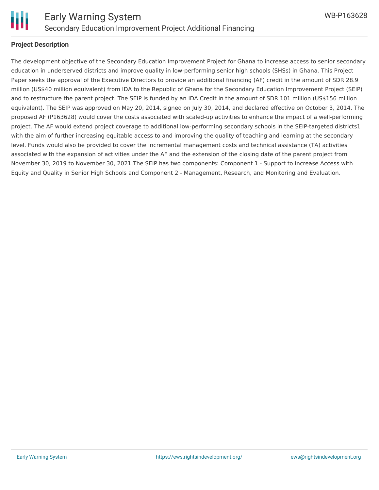

### **Project Description**

The development objective of the Secondary Education Improvement Project for Ghana to increase access to senior secondary education in underserved districts and improve quality in low-performing senior high schools (SHSs) in Ghana. This Project Paper seeks the approval of the Executive Directors to provide an additional financing (AF) credit in the amount of SDR 28.9 million (US\$40 million equivalent) from IDA to the Republic of Ghana for the Secondary Education Improvement Project (SEIP) and to restructure the parent project. The SEIP is funded by an IDA Credit in the amount of SDR 101 million (US\$156 million equivalent). The SEIP was approved on May 20, 2014, signed on July 30, 2014, and declared effective on October 3, 2014. The proposed AF (P163628) would cover the costs associated with scaled-up activities to enhance the impact of a well-performing project. The AF would extend project coverage to additional low-performing secondary schools in the SEIP-targeted districts1 with the aim of further increasing equitable access to and improving the quality of teaching and learning at the secondary level. Funds would also be provided to cover the incremental management costs and technical assistance (TA) activities associated with the expansion of activities under the AF and the extension of the closing date of the parent project from November 30, 2019 to November 30, 2021.The SEIP has two components: Component 1 - Support to Increase Access with Equity and Quality in Senior High Schools and Component 2 - Management, Research, and Monitoring and Evaluation.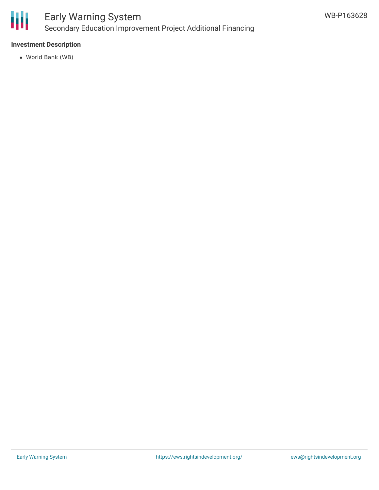

### Early Warning System Secondary Education Improvement Project Additional Financing

### **Investment Description**

World Bank (WB)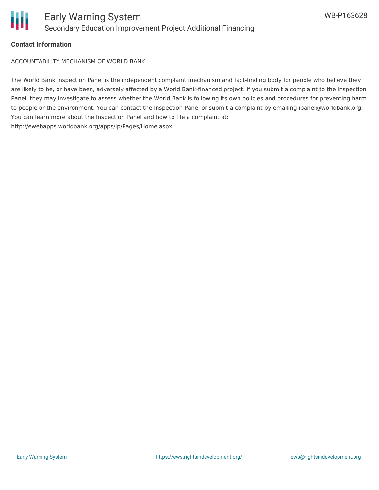

### **Contact Information**

ACCOUNTABILITY MECHANISM OF WORLD BANK

The World Bank Inspection Panel is the independent complaint mechanism and fact-finding body for people who believe they are likely to be, or have been, adversely affected by a World Bank-financed project. If you submit a complaint to the Inspection Panel, they may investigate to assess whether the World Bank is following its own policies and procedures for preventing harm to people or the environment. You can contact the Inspection Panel or submit a complaint by emailing ipanel@worldbank.org. You can learn more about the Inspection Panel and how to file a complaint at: http://ewebapps.worldbank.org/apps/ip/Pages/Home.aspx.